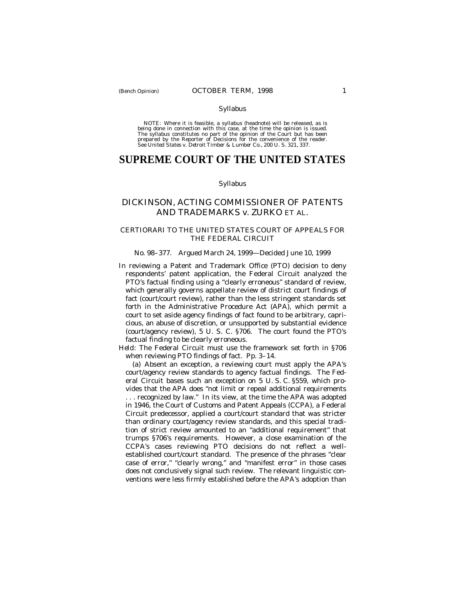#### Syllabus

NOTE: Where it is feasible, a syllabus (headnote) will be released, as is being done in connection with this case, at the time the opinion is issued. The syllabus constitutes no part of the opinion of the Court but has been<br>prepared by the Reporter of Decisions for the convenience of the reader.<br>See United States v. Detroit Timber & Lumber Co., 200 U. S. 321, 337.

# **SUPREME COURT OF THE UNITED STATES**

### Syllabus

# DICKINSON, ACTING COMMISSIONER OF PATENTS AND TRADEMARKS *v.* ZURKO ET AL.

## CERTIORARI TO THE UNITED STATES COURT OF APPEALS FOR THE FEDERAL CIRCUIT

### No. 98–377. Argued March 24, 1999— Decided June 10, 1999

In reviewing a Patent and Trademark Office (PTO) decision to deny respondents' patent application, the Federal Circuit analyzed the PTO's factual finding using a "clearly erroneous" standard of review, which generally governs appellate review of district court findings of fact (court/court review), rather than the less stringent standards set forth in the Administrative Procedure Act (APA), which permit a court to set aside agency findings of fact found to be arbitrary, capricious, an abuse of discretion, or unsupported by substantial evidence (court/agency review), 5 U. S. C. §706. The court found the PTO's factual finding to be clearly erroneous.

*Held:* The Federal Circuit must use the framework set forth in §706 when reviewing PTO findings of fact. Pp. 3–14.

(a) Absent an exception, a reviewing court must apply the APA's court/agency review standards to agency factual findings. The Federal Circuit bases such an exception on 5 U. S. C. §559, which provides that the APA does "not limit or repeal additional requirements . . . recognized by law." In its view, at the time the APA was adopted in 1946, the Court of Customs and Patent Appeals (CCPA), a Federal Circuit predecessor, applied a court/court standard that was stricter than ordinary court/agency review standards, and this special tradition of strict review amounted to an "additional requirement" that trumps §706's requirements. However, a close examination of the CCPA's cases reviewing PTO decisions do not reflect a wellestablished court/court standard. The presence of the phrases "clear case of error," "clearly wrong," and "manifest error" in those cases does not conclusively signal such review. The relevant linguistic conventions were less firmly established before the APA's adoption than